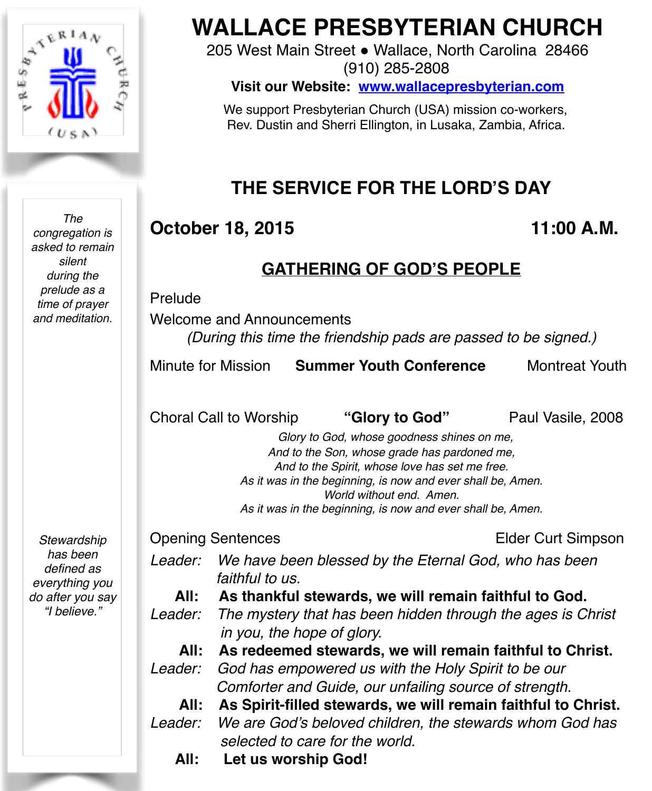

*The* 

*congregation is asked to remain silent during the prelude as a time of prayer and meditation. Stewardship has been defined as everything you do after you say* 

*"I believe."* 

# **WALLACE PRESBYTERIAN CHURCH**

205 West Main Street . Wallace, North Carolina 28466 (910) 285-2808

**Visit our Website: [www.wallacepresbyterian.com](http://www.wallacepresbyterian.com)**

 We support Presbyterian Church (USA) mission co-workers, Rev. Dustin and Sherri Ellington, in Lusaka, Zambia, Africa.

## **THE SERVICE FOR THE LORD'S DAY**

## **October 18, 2015 11:00 A.M.**

### **GATHERING OF GOD'S PEOPLE**

#### Prelude

Welcome and Announcements *(During this time the friendship pads are passed to be signed.)*

Minute for Mission **Summer Youth Conference** Montreat Youth

Choral Call to Worship **"Glory to God"** Paul Vasile, 2008

 *Glory to God, whose goodness shines on me, And to the Son, whose grade has pardoned me, And to the Spirit, whose love has set me free. As it was in the beginning, is now and ever shall be, Amen. World without end. Amen. As it was in the beginning, is now and ever shall be, Amen.*

Opening Sentences **Elder Curt Simpson** 

- *Leader: We have been blessed by the Eternal God, who has been faithful to us.* 
	- **All: As thankful stewards, we will remain faithful to God.**
- *Leader: The mystery that has been hidden through the ages is Christ in you, the hope of glory.*
- **All: As redeemed stewards, we will remain faithful to Christ.** *Leader: God has empowered us with the Holy Spirit to be our*

 *Comforter and Guide, our unfailing source of strength.*

- **All: As Spirit-filled stewards, we will remain faithful to Christ.** *Leader: We are God's beloved children, the stewards whom God has selected to care for the world.*
	- **All: Let us worship God!**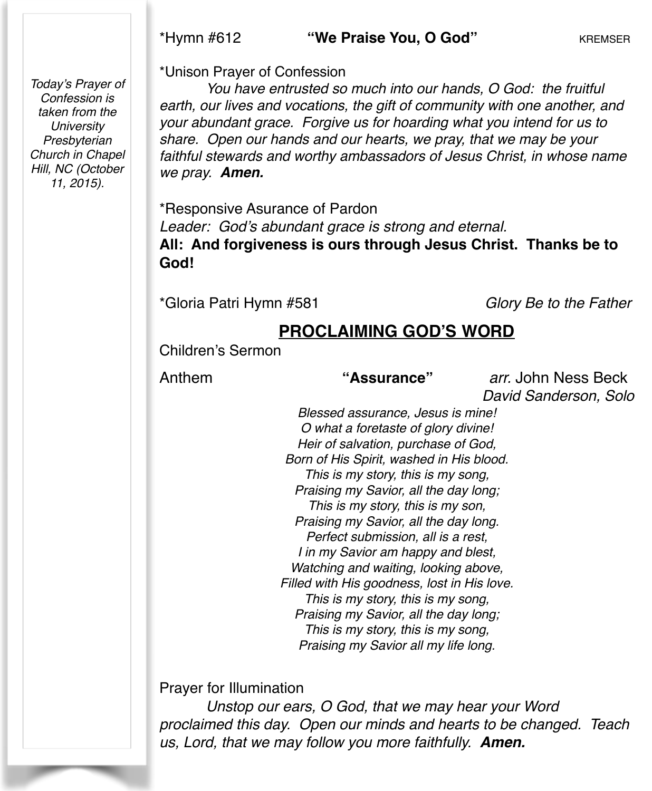#### \*Hymn #612 **"We Praise You, O God"** KREMSER

*Today's Prayer of Confession is taken from the University Presbyterian Church in Chapel Hill, NC (October 11, 2015).*

\*Unison Prayer of Confession

*You have entrusted so much into our hands, O God: the fruitful earth, our lives and vocations, the gift of community with one another, and your abundant grace. Forgive us for hoarding what you intend for us to share. Open our hands and our hearts, we pray, that we may be your faithful stewards and worthy ambassadors of Jesus Christ, in whose name we pray. Amen.*

\*Responsive Asurance of Pardon! ! *Leader: God's abundant grace is strong and eternal.* **All: And forgiveness is ours through Jesus Christ. Thanks be to God!**

\*Gloria Patri Hymn #581 *Glory Be to the Father*

## **PROCLAIMING GOD'S WORD**

Children's Sermon

#### Anthem **"Assurance"** *arr.* John Ness Beck

*David Sanderson, Solo*

*Blessed assurance, Jesus is mine! O what a foretaste of glory divine! Heir of salvation, purchase of God, Born of His Spirit, washed in His blood. This is my story, this is my song, Praising my Savior, all the day long; This is my story, this is my son, Praising my Savior, all the day long. Perfect submission, all is a rest, I in my Savior am happy and blest, Watching and waiting, looking above, Filled with His goodness, lost in His love. This is my story, this is my song, Praising my Savior, all the day long; This is my story, this is my song, Praising my Savior all my life long.*

Prayer for Illumination

*Unstop our ears, O God, that we may hear your Word proclaimed this day. Open our minds and hearts to be changed. Teach us, Lord, that we may follow you more faithfully. Amen.*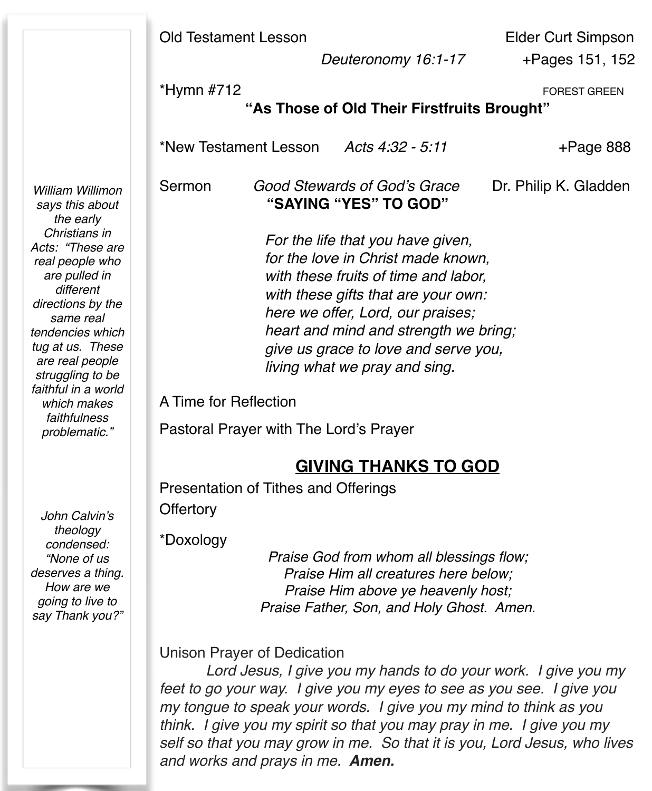|                                                                                                                                                                                                                                                                                                                                | <b>Old Testament Lesson</b><br>Deuteronomy 16:1-17                                                                                                                                                                                                                                                                                                                                                       | <b>Elder Curt Simpson</b><br>+Pages 151, 152 |  |  |
|--------------------------------------------------------------------------------------------------------------------------------------------------------------------------------------------------------------------------------------------------------------------------------------------------------------------------------|----------------------------------------------------------------------------------------------------------------------------------------------------------------------------------------------------------------------------------------------------------------------------------------------------------------------------------------------------------------------------------------------------------|----------------------------------------------|--|--|
|                                                                                                                                                                                                                                                                                                                                | *Hymn #712<br><b>FOREST GREEN</b><br>"As Those of Old Their Firstfruits Brought"                                                                                                                                                                                                                                                                                                                         |                                              |  |  |
|                                                                                                                                                                                                                                                                                                                                | *New Testament Lesson<br>Acts 4:32 - 5:11                                                                                                                                                                                                                                                                                                                                                                | $+$ Page 888                                 |  |  |
| William Willimon<br>says this about<br>the early<br>Christians in<br>Acts: "These are<br>real people who<br>are pulled in<br>different<br>directions by the<br>same real<br>tendencies which<br>tug at us. These<br>are real people<br>struggling to be<br>faithful in a world<br>which makes<br>faithfulness<br>problematic." | Sermon<br>Good Stewards of God's Grace<br>"SAYING "YES" TO GOD"                                                                                                                                                                                                                                                                                                                                          | Dr. Philip K. Gladden                        |  |  |
|                                                                                                                                                                                                                                                                                                                                | For the life that you have given,<br>for the love in Christ made known,<br>with these fruits of time and labor,<br>with these gifts that are your own:<br>here we offer, Lord, our praises;<br>heart and mind and strength we bring;<br>give us grace to love and serve you,<br>living what we pray and sing.                                                                                            |                                              |  |  |
|                                                                                                                                                                                                                                                                                                                                | A Time for Reflection<br>Pastoral Prayer with The Lord's Prayer                                                                                                                                                                                                                                                                                                                                          |                                              |  |  |
| John Calvin's<br>theology<br>condensed:<br>"None of us<br>deserves a thing.<br>How are we<br>going to live to<br>say Thank you?"                                                                                                                                                                                               | <b>GIVING THANKS TO GOD</b>                                                                                                                                                                                                                                                                                                                                                                              |                                              |  |  |
|                                                                                                                                                                                                                                                                                                                                | Presentation of Tithes and Offerings<br>Offertory<br>*Doxology<br>Praise God from whom all blessings flow;<br>Praise Him all creatures here below;<br>Praise Him above ye heavenly host;<br>Praise Father, Son, and Holy Ghost. Amen.                                                                                                                                                                    |                                              |  |  |
|                                                                                                                                                                                                                                                                                                                                | <b>Unison Prayer of Dedication</b><br>Lord Jesus, I give you my hands to do your work. I give you my<br>feet to go your way. I give you my eyes to see as you see. I give you<br>my tongue to speak your words. I give you my mind to think as you<br>think. I give you my spirit so that you may pray in me. I give you my<br>self so that you may grow in me. So that it is you, Lord Jesus, who lives |                                              |  |  |

*and works and prays in me. Amen.*

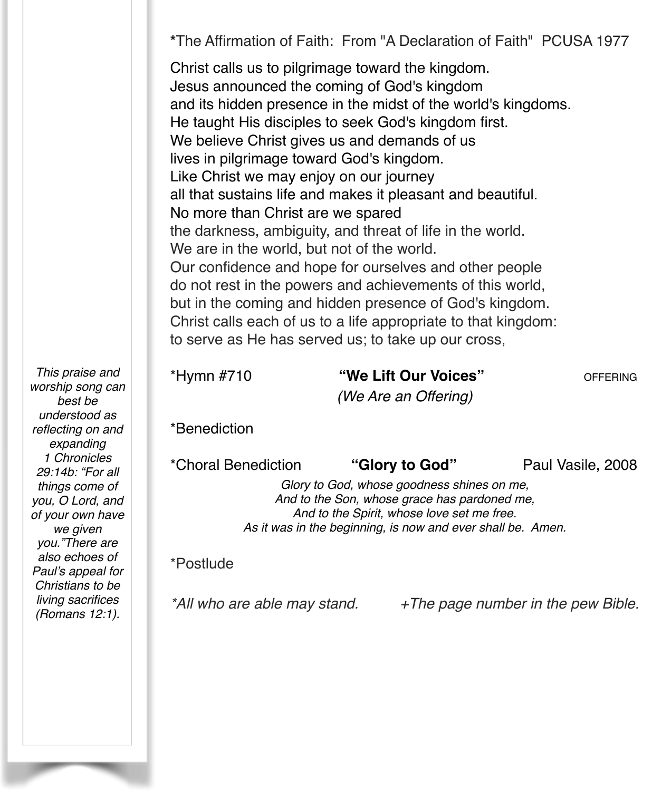**\***The Affirmation of Faith: From "A Declaration of Faith" PCUSA 1977

Christ calls us to pilgrimage toward the kingdom. Jesus announced the coming of God's kingdom and its hidden presence in the midst of the world's kingdoms. He taught His disciples to seek God's kingdom first. We believe Christ gives us and demands of us lives in pilgrimage toward God's kingdom. Like Christ we may enjoy on our journey all that sustains life and makes it pleasant and beautiful. No more than Christ are we spared the darkness, ambiguity, and threat of life in the world. We are in the world, but not of the world. Our confidence and hope for ourselves and other people do not rest in the powers and achievements of this world, but in the coming and hidden presence of God's kingdom. Christ calls each of us to a life appropriate to that kingdom: to serve as He has served us; to take up our cross,

*This praise and worship song can best be understood as reflecting on and expanding 1 Chronicles 29:14b: "For all things come of you, O Lord, and of your own have we given you."There are also echoes of Paul's appeal for Christians to be living sacrifices (Romans 12:1).*

\*Hymn #710 **"We Lift Our Voices"** OFFERING *(We Are an Offering)*

\*Benediction

\*Choral Benediction **"Glory to God"** Paul Vasile, 2008

*Glory to God, whose goodness shines on me, And to the Son, whose grace has pardoned me, And to the Spirit, whose love set me free. As it was in the beginning, is now and ever shall be. Amen.*

#### \*Postlude

*\*All who are able may stand. +The page number in the pew Bible.*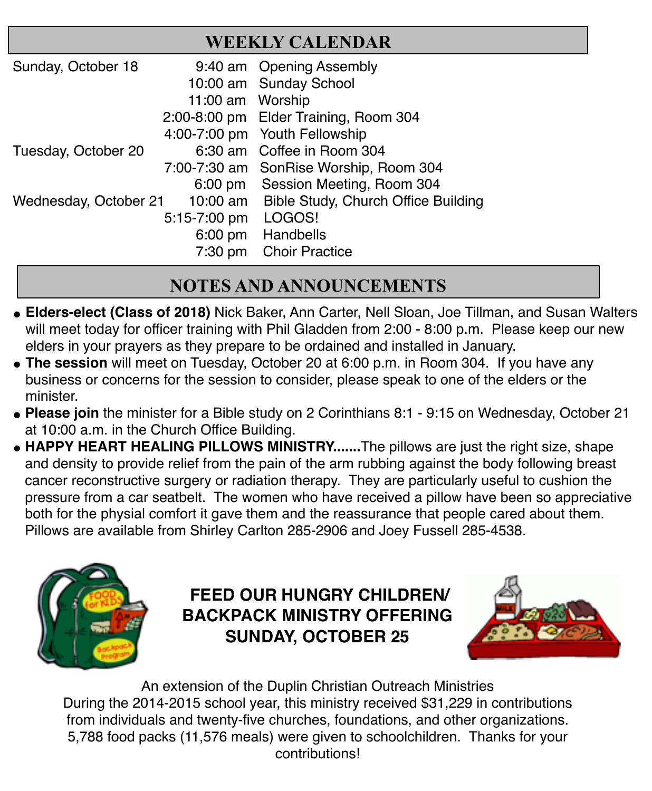| <b>WEEKLY CALENDAR</b> |
|------------------------|
|------------------------|

| Sunday, October 18    |                     | 9:40 am Opening Assembly                     |
|-----------------------|---------------------|----------------------------------------------|
|                       |                     | 10:00 am Sunday School                       |
|                       | 11:00 am Worship    |                                              |
|                       |                     | 2:00-8:00 pm Elder Training, Room 304        |
|                       |                     | 4:00-7:00 pm Youth Fellowship                |
| Tuesday, October 20   |                     | 6:30 am Coffee in Room 304                   |
|                       |                     | 7:00-7:30 am SonRise Worship, Room 304       |
|                       |                     | 6:00 pm Session Meeting, Room 304            |
| Wednesday, October 21 |                     | 10:00 am Bible Study, Church Office Building |
|                       | 5:15-7:00 pm LOGOS! |                                              |
|                       |                     | 6:00 pm Handbells                            |
|                       |                     | 7:30 pm Choir Practice                       |

## **NOTES AND ANNOUNCEMENTS**

- **" Elders-elect (Class of 2018)** Nick Baker, Ann Carter, Nell Sloan, Joe Tillman, and Susan Walters will meet today for officer training with Phil Gladden from 2:00 - 8:00 p.m. Please keep our new elders in your prayers as they prepare to be ordained and installed in January.
- **The session** will meet on Tuesday, October 20 at 6:00 p.m. in Room 304. If you have any business or concerns for the session to consider, please speak to one of the elders or the minister.
- " **Please join** the minister for a Bible study on 2 Corinthians 8:1 9:15 on Wednesday, October 21 at 10:00 a.m. in the Church Office Building.
- **HAPPY HEART HEALING PILLOWS MINISTRY.......**The pillows are just the right size, shape and density to provide relief from the pain of the arm rubbing against the body following breast cancer reconstructive surgery or radiation therapy. They are particularly useful to cushion the pressure from a car seatbelt. The women who have received a pillow have been so appreciative both for the physial comfort it gave them and the reassurance that people cared about them. Pillows are available from Shirley Carlton 285-2906 and Joey Fussell 285-4538.



## **FEED OUR HUNGRY CHILDREN/ BACKPACK MINISTRY OFFERING SUNDAY, OCTOBER 25**



An extension of the Duplin Christian Outreach Ministries During the 2014-2015 school year, this ministry received \$31,229 in contributions from individuals and twenty-five churches, foundations, and other organizations. 5,788 food packs (11,576 meals) were given to schoolchildren. Thanks for your contributions!